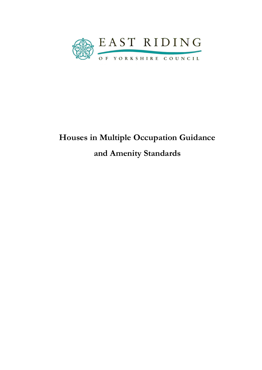

# Houses in Multiple Occupation Guidance and Amenity Standards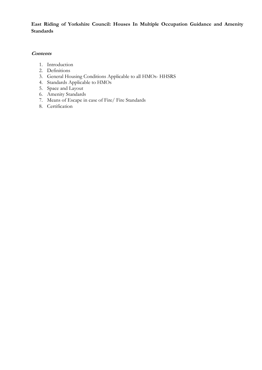East Riding of Yorkshire Council: Houses In Multiple Occupation Guidance and Amenity Standards

#### **Contents**

- 1. Introduction
- 2. Definitions
- 3. General Housing Conditions Applicable to all HMOs- HHSRS
- 4. Standards Applicable to HMOs
- 5. Space and Layout
- 6. Amenity Standards
- 7. Means of Escape in case of Fire/ Fire Standards
- 8. Certification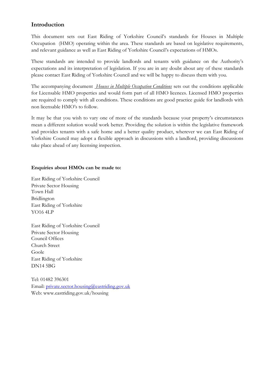## Introduction

This document sets out East Riding of Yorkshire Council's standards for Houses in Multiple Occupation (HMO) operating within the area. These standards are based on legislative requirements, and relevant guidance as well as East Riding of Yorkshire Council's expectations of HMOs.

These standards are intended to provide landlords and tenants with guidance on the Authority's expectations and its interpretation of legislation. If you are in any doubt about any of these standards please contact East Riding of Yorkshire Council and we will be happy to discuss them with you.

The accompanying document *Houses in Multiple Occupation Conditions* sets out the conditions applicable for Licensable HMO properties and would form part of all HMO licences. Licensed HMO properties are required to comply with all conditions. These conditions are good practice guide for landlords with non licensable HMO's to follow.

It may be that you wish to vary one of more of the standards because your property's circumstances mean a different solution would work better. Providing the solution is within the legislative framework and provides tenants with a safe home and a better quality product, wherever we can East Riding of Yorkshire Council may adopt a flexible approach in discussions with a landlord, providing discussions take place ahead of any licensing inspection.

#### Enquiries about HMOs can be made to:

East Riding of Yorkshire Council Private Sector Housing Town Hall Bridlington East Riding of Yorkshire YO16 4LP

East Riding of Yorkshire Council Private Sector Housing Council Offices Church Street Goole East Riding of Yorkshire DN14 5BG

Tel: 01482 396301 Email: private.sector.housing@eastriding.gov.uk Web: www.eastriding.gov.uk/housing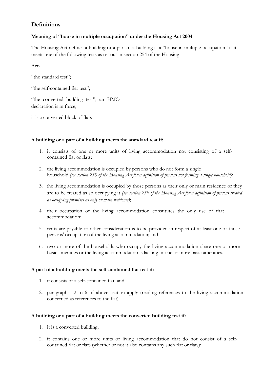# **Definitions**

## Meaning of "house in multiple occupation" under the Housing Act 2004

The Housing Act defines a building or a part of a building is a "house in multiple occupation" if it meets one of the following tests as set out in section 254 of the Housing

Act-

"the standard test";

"the self-contained flat test";

"the converted building test"; an HMO declaration is in force;

it is a converted block of flats

## A building or a part of a building meets the standard test if:

- 1. it consists of one or more units of living accommodation not consisting of a selfcontained flat or flats;
- 2. the living accommodation is occupied by persons who do not form a single household (see section 258 of the Housing Act for a definition of persons not forming a single household);
- 3. the living accommodation is occupied by those persons as their only or main residence or they are to be treated as so occupying it (see section 259 of the Housing Act for a definition of persons treated as occupying premises as only or main residence);
- 4. their occupation of the living accommodation constitutes the only use of that accommodation;
- 5. rents are payable or other consideration is to be provided in respect of at least one of those persons' occupation of the living accommodation; and
- 6. two or more of the households who occupy the living accommodation share one or more basic amenities or the living accommodation is lacking in one or more basic amenities.

## A part of a building meets the self-contained flat test if:

- 1. it consists of a self-contained flat; and
- 2. paragraphs 2 to 6 of above section apply (reading references to the living accommodation concerned as references to the flat).

## A building or a part of a building meets the converted building test if:

- 1. it is a converted building;
- 2. it contains one or more units of living accommodation that do not consist of a selfcontained flat or flats (whether or not it also contains any such flat or flats);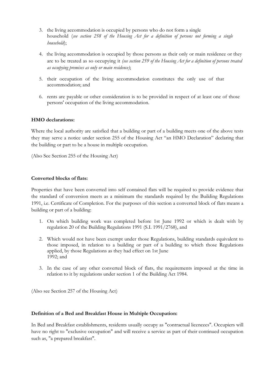- 3. the living accommodation is occupied by persons who do not form a single household (see section 258 of the Housing Act for a definition of persons not forming a single household);
- 4. the living accommodation is occupied by those persons as their only or main residence or they are to be treated as so occupying it (see section 259 of the Housing Act for a definition of persons treated as occupying premises as only or main residence);
- 5. their occupation of the living accommodation constitutes the only use of that accommodation; and
- 6. rents are payable or other consideration is to be provided in respect of at least one of those persons' occupation of the living accommodation.

#### HMO declarations:

Where the local authority are satisfied that a building or part of a building meets one of the above tests they may serve a notice under section 255 of the Housing Act "an HMO Declaration" declaring that the building or part to be a house in multiple occupation.

(Also See Section 255 of the Housing Act)

#### Converted blocks of flats:

Properties that have been converted into self contained flats will be required to provide evidence that the standard of conversion meets as a minimum the standards required by the Building Regulations 1991, i.e. Certificate of Completion. For the purposes of this section a converted block of flats means a building or part of a building:

- 1. On which building work was completed before 1st June 1992 or which is dealt with by regulation 20 of the Building Regulations 1991 (S.I. 1991/2768), and
- 2. Which would not have been exempt under those Regulations, building standards equivalent to those imposed, in relation to a building or part of a building to which those Regulations applied, by those Regulations as they had effect on 1st June 1992; and
- 3. In the case of any other converted block of flats, the requirements imposed at the time in relation to it by regulations under section 1 of the Building Act 1984.

(Also see Section 257 of the Housing Act)

#### Definition of a Bed and Breakfast House in Multiple Occupation:

In Bed and Breakfast establishments, residents usually occupy as "contractual licencees". Occupiers will have no right to "exclusive occupation" and will receive a service as part of their continued occupation such as, "a prepared breakfast".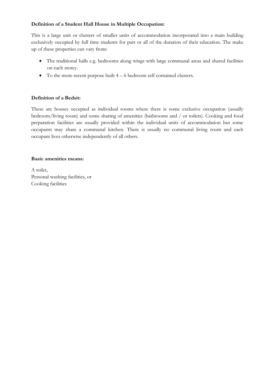## Definition of a Student Hall House in Multiple Occupation:

This is a large unit or clusters of smaller units of accommodation incorporated into a main building exclusively occupied by full time students for part or all of the duration of their education. The make up of these properties can vary from:

- The traditional halls e.g. bedrooms along wings with large communal areas and shared facilities on each storey.
- $\bullet$  To the more recent purpose built  $4 6$  bedroom self contained clusters.

## Definition of a Bedsit:

These are houses occupied as individual rooms where there is some exclusive occupation (usually bedroom/living room) and some sharing of amenities (bathrooms and / or toilets). Cooking and food preparation facilities are usually provided within the individual units of accommodation but some occupants may share a communal kitchen. There is usually no communal living room and each occupant lives otherwise independently of all others.

## Basic amenities means:

A toilet, Personal washing facilities, or Cooking facilities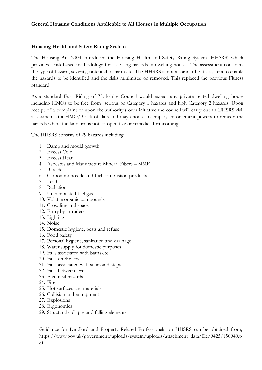## General Housing Conditions Applicable to All Houses in Multiple Occupation

## Housing Health and Safety Rating System

The Housing Act 2004 introduced the Housing Health and Safety Rating System (HHSRS) which provides a risk based methodology for assessing hazards in dwelling houses. The assessment considers the type of hazard, severity, potential of harm etc. The HHSRS is not a standard but a system to enable the hazards to be identified and the risks minimised or removed. This replaced the previous Fitness Standard.

As a standard East Riding of Yorkshire Council would expect any private rented dwelling house including HMOs to be free from serious or Category 1 hazards and high Category 2 hazards. Upon receipt of a complaint or upon the authority's own initiative the council will carry out an HHSRS risk assessment at a HMO/Block of flats and may choose to employ enforcement powers to remedy the hazards where the landlord is not co-operative or remedies forthcoming.

The HHSRS consists of 29 hazards including:

- 1. Damp and mould growth
- 2. Excess Cold
- 3. Excess Heat
- 4. Asbestos and Manufacture Mineral Fibers MMF
- 5. Biocides
- 6. Carbon monoxide and fuel combustion products
- 7. Lead
- 8. Radiation
- 9. Uncombusted fuel gas
- 10. Volatile organic compounds
- 11. Crowding and space
- 12. Entry by intruders
- 13. Lighting
- 14. Noise
- 15. Domestic hygiene, pests and refuse
- 16. Food Safety
- 17. Personal hygiene, sanitation and drainage
- 18. Water supply for domestic purposes
- 19. Falls associated with baths etc
- 20. Falls on the level
- 21. Falls associated with stairs and steps
- 22. Falls between levels
- 23. Electrical hazards
- 24. Fire
- 25. Hot surfaces and materials
- 26. Collision and entrapment
- 27. Explosions
- 28. Ergonomics
- 29. Structural collapse and falling elements

Guidance for Landlord and Property Related Professionals on HHSRS can be obtained from; https://www.gov.uk/government/uploads/system/uploads/attachment\_data/file/9425/150940.p df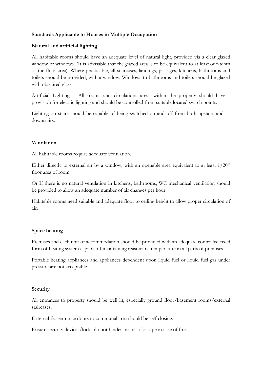#### Standards Applicable to Houses in Multiple Occupation

#### Natural and artificial lighting

All habitable rooms should have an adequate level of natural light, provided via a clear glazed window or windows. (It is advisable that the glazed area is to be equivalent to at least one-tenth of the floor area). Where practicable, all staircases, landings, passages, kitchens, bathrooms and toilets should be provided, with a window. Windows to bathrooms and toilets should be glazed with obscured glass.

Artificial Lighting: - All rooms and circulations areas within the property should have provision for electric lighting and should be controlled from suitable located switch points.

Lighting on stairs should be capable of being switched on and off from both upstairs and downstairs.

#### Ventilation

All habitable rooms require adequate ventilation.

Either directly to external air by a window, with an openable area equivalent to at least  $1/20<sup>th</sup>$ floor area of room.

Or If there is no natural ventilation in kitchens, bathrooms, WC mechanical ventilation should be provided to allow an adequate number of air changes per hour.

Habitable rooms need suitable and adequate floor to ceiling height to allow proper circulation of air.

#### Space heating

Premises and each unit of accommodation should be provided with an adequate controlled fixed form of heating system capable of maintaining reasonable temperature in all parts of premises.

Portable heating appliances and appliances dependent upon liquid fuel or liquid fuel gas under pressure are not acceptable.

#### Security

All entrances to property should be well lit, especially ground floor/basement rooms/external staircases.

External flat entrance doors to communal area should be self closing.

Ensure security devices/locks do not hinder means of escape in case of fire.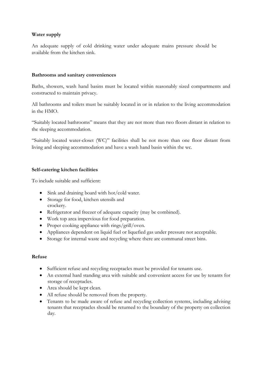## Water supply

An adequate supply of cold drinking water under adequate mains pressure should be available from the kitchen sink.

#### Bathrooms and sanitary conveniences

Baths, showers, wash hand basins must be located within reasonably sized compartments and constructed to maintain privacy.

All bathrooms and toilets must be suitably located in or in relation to the living accommodation in the HMO.

"Suitably located bathrooms" means that they are not more than two floors distant in relation to the sleeping accommodation.

"Suitably located water-closet (WC)" facilities shall be not more than one floor distant from living and sleeping accommodation and have a wash hand basin within the wc.

## Self-catering kitchen facilities

To include suitable and sufficient:

- Sink and draining board with hot/cold water.
- Storage for food, kitchen utensils and crockery.
- Refrigerator and freezer of adequate capacity (may be combined).
- Work top area impervious for food preparation.
- Proper cooking appliance with rings/grill/oven.
- Appliances dependent on liquid fuel or liquefied gas under pressure not acceptable.
- Storage for internal waste and recycling where there are communal street bins.

#### Refuse

- Sufficient refuse and recycling receptacles must be provided for tenants use.
- An external hard standing area with suitable and convenient access for use by tenants for storage of receptacles.
- Area should be kept clean.
- All refuse should be removed from the property.
- Tenants to be made aware of refuse and recycling collection systems, including advising tenants that receptacles should be returned to the boundary of the property on collection day.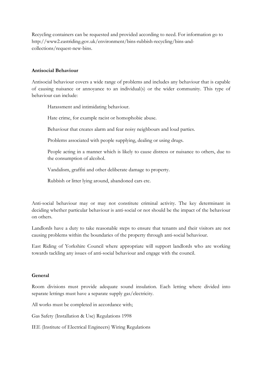Recycling containers can be requested and provided according to need. For information go to http://www2.eastriding.gov.uk/environment/bins-rubbish-recycling/bins-andcollections/request-new-bins.

#### Antisocial Behaviour

Antisocial behaviour covers a wide range of problems and includes any behaviour that is capable of causing nuisance or annoyance to an individual(s) or the wider community. This type of behaviour can include:

Harassment and intimidating behaviour.

Hate crime, for example racist or homophobic abuse.

Behaviour that creates alarm and fear noisy neighbours and loud parties.

Problems associated with people supplying, dealing or using drugs.

 People acting in a manner which is likely to cause distress or nuisance to others, due to the consumption of alcohol.

Vandalism, graffiti and other deliberate damage to property.

Rubbish or litter lying around, abandoned cars etc.

Anti-social behaviour may or may not constitute criminal activity. The key determinant in deciding whether particular behaviour is anti-social or not should be the impact of the behaviour on others.

Landlords have a duty to take reasonable steps to ensure that tenants and their visitors are not causing problems within the boundaries of the property through anti-social behaviour.

East Riding of Yorkshire Council where appropriate will support landlords who are working towards tackling any issues of anti-social behaviour and engage with the council.

#### General

Room divisions must provide adequate sound insulation. Each letting where divided into separate lettings must have a separate supply gas/electricity.

All works must be completed in accordance with;

Gas Safety (Installation & Use) Regulations 1998

IEE (Institute of Electrical Engineers) Wiring Regulations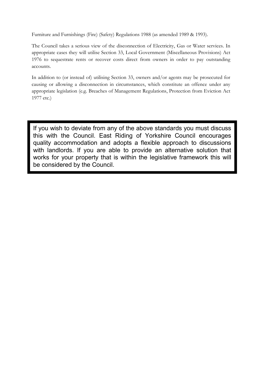Furniture and Furnishings (Fire) (Safety) Regulations 1988 (as amended 1989 & 1993).

The Council takes a serious view of the disconnection of Electricity, Gas or Water services. In appropriate cases they will utilise Section 33, Local Government (Miscellaneous Provisions) Act 1976 to sequestrate rents or recover costs direct from owners in order to pay outstanding accounts.

In addition to (or instead of) utilising Section 33, owners and/or agents may be prosecuted for causing or allowing a disconnection in circumstances, which constitute an offence under any appropriate legislation (e.g. Breaches of Management Regulations, Protection from Eviction Act 1977 etc.)

If you wish to deviate from any of the above standards you must discuss this with the Council. East Riding of Yorkshire Council encourages quality accommodation and adopts a flexible approach to discussions with landlords. If you are able to provide an alternative solution that works for your property that is within the legislative framework this will be considered by the Council.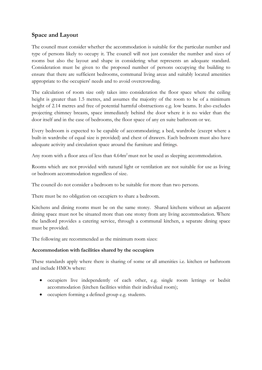# Space and Layout

The council must consider whether the accommodation is suitable for the particular number and type of persons likely to occupy it. The council will not just consider the number and sizes of rooms but also the layout and shape in considering what represents an adequate standard. Consideration must be given to the proposed number of persons occupying the building to ensure that there are sufficient bedrooms, communal living areas and suitably located amenities appropriate to the occupiers' needs and to avoid overcrowding.

The calculation of room size only takes into consideration the floor space where the ceiling height is greater than 1.5 metres, and assumes the majority of the room to be of a minimum height of 2.14 metres and free of potential harmful obstructions e.g. low beams. It also excludes projecting chimney breasts, space immediately behind the door where it is no wider than the door itself and in the case of bedrooms, the floor space of any en suite bathroom or wc.

Every bedroom is expected to be capable of accommodating; a bed, wardrobe (except where a built-in wardrobe of equal size is provided) and chest of drawers. Each bedroom must also have adequate activity and circulation space around the furniture and fittings.

Any room with a floor area of less than 4.64m<sup>2</sup> must not be used as sleeping accommodation.

Rooms which are not provided with natural light or ventilation are not suitable for use as living or bedroom accommodation regardless of size.

The council do not consider a bedroom to be suitable for more than two persons.

There must be no obligation on occupiers to share a bedroom.

Kitchens and dining rooms must be on the same storey. Shared kitchens without an adjacent dining space must not be situated more than one storey from any living accommodation. Where the landlord provides a catering service, through a communal kitchen, a separate dining space must be provided.

The following are recommended as the minimum room sizes:

## Accommodation with facilities shared by the occupiers

These standards apply where there is sharing of some or all amenities i.e. kitchen or bathroom and include HMOs where:

- occupiers live independently of each other, e.g. single room lettings or bedsit accommodation (kitchen facilities within their individual room);
- occupiers forming a defined group e.g. students.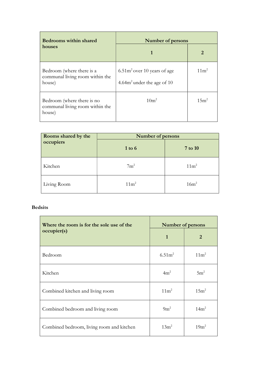| <b>Bedrooms within shared</b>                                           | <b>Number of persons</b>                                       |                  |
|-------------------------------------------------------------------------|----------------------------------------------------------------|------------------|
| houses                                                                  |                                                                | 2                |
| Bedroom (where there is a<br>communal living room within the<br>house)  | $6.51m2$ over 10 years of age<br>4.64 $m2$ under the age of 10 | $11 \text{m}^2$  |
| Bedroom (where there is no<br>communal living room within the<br>house) | 10 <sup>m²</sup>                                               | 15m <sup>2</sup> |

| Rooms shared by the | Number of persons |                  |  |
|---------------------|-------------------|------------------|--|
| occupiers           | $1$ to $6$        | 7 to 10          |  |
| Kitchen             | $7m^2$            | 11m <sup>2</sup> |  |
| Living Room         | 11m <sup>2</sup>  | 16m <sup>2</sup> |  |

#### Bedsits

| Where the room is for the sole use of the | Number of persons |                  |
|-------------------------------------------|-------------------|------------------|
| occupier(s)                               | $\mathbf{1}$      | $\overline{2}$   |
| Bedroom                                   | $6.51m^2$         | 11m <sup>2</sup> |
| Kitchen                                   | 4m <sup>2</sup>   | $5m^2$           |
| Combined kitchen and living room          | $11m^2$           | $15m^2$          |
| Combined bedroom and living room          | $9m^2$            | 14m <sup>2</sup> |
| Combined bedroom, living room and kitchen | $13m^2$           | $19m^2$          |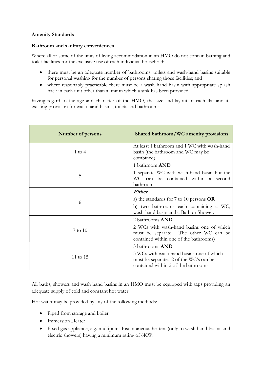#### Amenity Standards

#### Bathroom and sanitary conveniences

Where all or some of the units of living accommodation in an HMO do not contain bathing and toilet facilities for the exclusive use of each individual household:

- there must be an adequate number of bathrooms, toilets and wash-hand basins suitable for personal washing for the number of persons sharing those facilities; and
- where reasonably practicable there must be a wash hand basin with appropriate splash back in each unit other than a unit in which a sink has been provided.

having regard to the age and character of the HMO, the size and layout of each flat and its existing provision for wash hand basins, toilets and bathrooms.

| Number of persons | Shared bathroom/WC amenity provisions                                                                                       |  |
|-------------------|-----------------------------------------------------------------------------------------------------------------------------|--|
| 1 to 4            | At least 1 bathroom and 1 WC with wash-hand<br>basin (the bathroom and WC may be<br>combined)                               |  |
|                   | 1 bathroom <b>AND</b>                                                                                                       |  |
| 5                 | 1 separate WC with wash-hand basin but the<br>WC can be contained within a second<br>bathroom                               |  |
| 6                 | Either                                                                                                                      |  |
|                   | a) the standards for $7$ to $10$ persons $OR$                                                                               |  |
|                   | b) two bathrooms each containing a WC,<br>wash-hand basin and a Bath or Shower.                                             |  |
|                   | 2 bathrooms AND                                                                                                             |  |
| $7$ to $10$       | 2 WCs with wash-hand basins one of which<br>must be separate. The other WC can be<br>contained within one of the bathrooms) |  |
|                   | 3 bathrooms <b>AND</b>                                                                                                      |  |
| 11 to 15          | 3 WCs with wash-hand basins one of which<br>must be separate. 2 of the WC's can be<br>contained within 2 of the bathrooms   |  |

All baths, showers and wash hand basins in an HMO must be equipped with taps providing an adequate supply of cold and constant hot water.

Hot water may be provided by any of the following methods:

- Piped from storage and boiler
- Immersion Heater
- Fixed gas appliance, e.g. multipoint Instantaneous heaters (only to wash hand basins and electric showers) having a minimum rating of 6KW.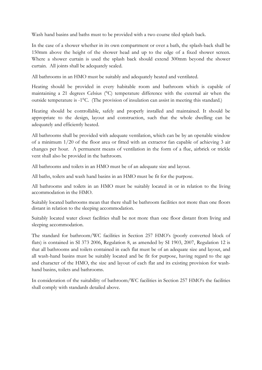Wash hand basins and baths must to be provided with a two course tiled splash back.

In the case of a shower whether in its own compartment or over a bath, the splash-back shall be 150mm above the height of the shower head and up to the edge of a fixed shower screen. Where a shower curtain is used the splash back should extend 300mm beyond the shower curtain. All joints shall be adequately sealed.

All bathrooms in an HMO must be suitably and adequately heated and ventilated.

Heating should be provided in every habitable room and bathroom which is capable of maintaining a 21 degrees Celsius (°C) temperature difference with the external air when the outside temperature is -1°C. (The provision of insulation can assist in meeting this standard.)

Heating should be controllable, safely and properly installed and maintained. It should be appropriate to the design, layout and construction, such that the whole dwelling can be adequately and efficiently heated.

All bathrooms shall be provided with adequate ventilation, which can be by an openable window of a minimum 1/20 of the floor area or fitted with an extractor fan capable of achieving 3 air changes per hour. A permanent means of ventilation in the form of a flue, airbrick or trickle vent shall also be provided in the bathroom.

All bathrooms and toilets in an HMO must be of an adequate size and layout.

All baths, toilets and wash hand basins in an HMO must be fit for the purpose.

All bathrooms and toilets in an HMO must be suitably located in or in relation to the living accommodation in the HMO.

Suitably located bathrooms mean that there shall be bathroom facilities not more than one floors distant in relation to the sleeping accommodation.

Suitably located water closet facilities shall be not more than one floor distant from living and sleeping accommodation.

The standard for bathroom/WC facilities in Section 257 HMO's (poorly converted block of flats) is contained in SI 373 2006, Regulation 8, as amended by SI 1903, 2007, Regulation 12 is that all bathrooms and toilets contained in each flat must be of an adequate size and layout, and all wash-hand basins must be suitably located and be fit for purpose, having regard to the age and character of the HMO, the size and layout of each flat and its existing provision for washhand basins, toilets and bathrooms.

In consideration of the suitability of bathroom/WC facilities in Section 257 HMO's the facilities shall comply with standards detailed above.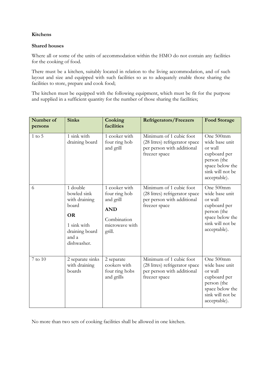## Kitchens

#### Shared houses

Where all or some of the units of accommodation within the HMO do not contain any facilities for the cooking of food.

There must be a kitchen, suitably located in relation to the living accommodation, and of such layout and size and equipped with such facilities so as to adequately enable those sharing the facilities to store, prepare and cook food;

The kitchen must be equipped with the following equipment, which must be fit for the purpose and supplied in a sufficient quantity for the number of those sharing the facilities;

| Number of<br>persons | <b>Sinks</b>                                                                                                            | Cooking<br>facilities                                                                                | <b>Refrigerators/Freezers</b>                                                                            | <b>Food Storage</b>                                                                                                          |
|----------------------|-------------------------------------------------------------------------------------------------------------------------|------------------------------------------------------------------------------------------------------|----------------------------------------------------------------------------------------------------------|------------------------------------------------------------------------------------------------------------------------------|
| $1$ to $5$           | 1 sink with<br>draining board                                                                                           | 1 cooker with<br>four ring hob<br>and grill                                                          | Minimum of 1 cubic foot<br>(28 litres) refrigerator space<br>per person with additional<br>freezer space | One 500mm<br>wide base unit<br>or wall<br>cupboard per<br>person (the<br>space below the<br>sink will not be<br>acceptable). |
| 6                    | 1 double<br>bowled sink<br>with draining<br>board<br><b>OR</b><br>1 sink with<br>draining board<br>and a<br>dishwasher. | 1 cooker with<br>four ring hob<br>and grill<br><b>AND</b><br>Combination<br>microwave with<br>grill. | Minimum of 1 cubic foot<br>(28 litres) refrigerator space<br>per person with additional<br>freezer space | One 500mm<br>wide base unit<br>or wall<br>cupboard per<br>person (the<br>space below the<br>sink will not be<br>acceptable). |
| 7 to 10              | 2 separate sinks<br>with draining<br>boards                                                                             | 2 separate<br>cookers with<br>four ring hobs<br>and grills                                           | Minimum of 1 cubic foot<br>(28 litres) refrigerator space<br>per person with additional<br>freezer space | One 500mm<br>wide base unit<br>or wall<br>cupboard per<br>person (the<br>space below the<br>sink will not be<br>acceptable). |

No more than two sets of cooking facilities shall be allowed in one kitchen.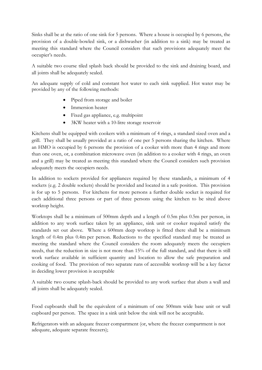Sinks shall be at the ratio of one sink for 5 persons. Where a house is occupied by 6 persons, the provision of a double-bowled sink, or a dishwasher (in addition to a sink) may be treated as meeting this standard where the Council considers that such provisions adequately meet the occupier's needs.

A suitable two course tiled splash back should be provided to the sink and draining board, and all joints shall be adequately sealed.

An adequate supply of cold and constant hot water to each sink supplied. Hot water may be provided by any of the following methods:

- Piped from storage and boiler
- Immersion heater
- Fixed gas appliance, e.g. multipoint
- 3KW heater with a 10-litre storage reservoir

Kitchens shall be equipped with cookers with a minimum of 4 rings, a standard sized oven and a grill. They shall be usually provided at a ratio of one per 5 persons sharing the kitchen. Where an HMO is occupied by 6 persons the provision of a cooker with more than 4 rings and more than one oven, or, a combination microwave oven (in addition to a cooker with 4 rings, an oven and a grill) may be treated as meeting this standard where the Council considers such provision adequately meets the occupiers needs.

In addition to sockets provided for appliances required by these standards, a minimum of 4 sockets (e.g. 2 double sockets) should be provided and located in a safe position. This provision is for up to 5 persons. For kitchens for more persons a further double socket is required for each additional three persons or part of three persons using the kitchen to be sited above worktop height.

Worktops shall be a minimum of 500mm depth and a length of 0.5m plus 0.5m per person, in addition to any work surface taken by an appliance, sink unit or cooker required satisfy the standards set out above. Where a 600mm deep worktop is fitted there shall be a minimum length of 0.4m plus 0.4m per person. Reductions to the specified standard may be treated as meeting the standard where the Council considers the room adequately meets the occupiers needs, that the reduction in size is not more than 15% of the full standard, and that there is still work surface available in sufficient quantity and location to allow the safe preparation and cooking of food. The provision of two separate runs of accessible worktop will be a key factor in deciding lower provision is acceptable

A suitable two course splash-back should be provided to any work surface that abuts a wall and all joints shall be adequately sealed.

Food cupboards shall be the equivalent of a minimum of one 500mm wide base unit or wall cupboard per person. The space in a sink unit below the sink will not be acceptable.

Refrigerators with an adequate freezer compartment (or, where the freezer compartment is not adequate, adequate separate freezers);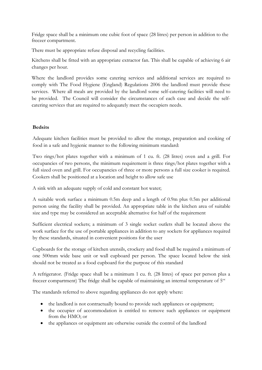Fridge space shall be a minimum one cubic foot of space (28 litres) per person in addition to the freezer compartment.

There must be appropriate refuse disposal and recycling facilities.

Kitchens shall be fitted with an appropriate extractor fan. This shall be capable of achieving 6 air changes per hour.

Where the landlord provides some catering services and additional services are required to comply with The Food Hygiene (England) Regulations 2006 the landlord must provide these services. Where all meals are provided by the landlord some self-catering facilities will need to be provided. The Council will consider the circumstances of each case and decide the selfcatering services that are required to adequately meet the occupiers needs.

## **Bedsits**

Adequate kitchen facilities must be provided to allow the storage, preparation and cooking of food in a safe and hygienic manner to the following minimum standard:

Two rings/hot plates together with a minimum of 1 cu. ft. (28 litres) oven and a grill. For occupancies of two persons, the minimum requirement is three rings/hot plates together with a full sized oven and grill. For occupancies of three or more persons a full size cooker is required. Cookers shall be positioned at a location and height to allow safe use

A sink with an adequate supply of cold and constant hot water;

A suitable work surface a minimum 0.5m deep and a length of 0.9m plus 0.5m per additional person using the facility shall be provided. An appropriate table in the kitchen area of suitable size and type may be considered an acceptable alternative for half of the requirement

Sufficient electrical sockets; a minimum of 3 single socket outlets shall be located above the work surface for the use of portable appliances in addition to any sockets for appliances required by these standards, situated in convenient positions for the user

Cupboards for the storage of kitchen utensils, crockery and food shall be required a minimum of one 500mm wide base unit or wall cupboard per person. The space located below the sink should not be treated as a food cupboard for the purpose of this standard

A refrigerator. (Fridge space shall be a minimum 1 cu. ft. (28 litres) of space per person plus a freezer compartment) The fridge shall be capable of maintaining an internal temperature of  $5^{\circ\circ}$ 

The standards referred to above regarding appliances do not apply where:

- the landlord is not contractually bound to provide such appliances or equipment;
- the occupier of accommodation is entitled to remove such appliances or equipment from the HMO; or
- the appliances or equipment are otherwise outside the control of the landlord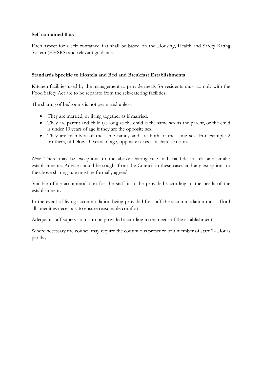## Self contained flats

Each aspect for a self contained flat shall be based on the Housing, Health and Safety Rating System (HHSRS) and relevant guidance.

#### Standards Specific to Hostels and Bed and Breakfast Establishments

Kitchen facilities used by the management to provide meals for residents must comply with the Food Safety Act are to be separate from the self-catering facilities.

The sharing of bedrooms is not permitted unless:

- They are married, or living together as if married.
- They are parent and child (as long as the child is the same sex as the parent, or the child is under 10 years of age if they are the opposite sex.
- They are members of the same family and are both of the same sex. For example 2 brothers, (if below 10 years of age, opposite sexes can share a room).

Note: There may be exceptions to the above sharing rule in bona fide hostels and similar establishments. Advice should be sought from the Council in these cases and any exceptions to the above sharing rule must be formally agreed.

Suitable office accommodation for the staff is to be provided according to the needs of the establishment.

In the event of living accommodation being provided for staff the accommodation must afford all amenities necessary to ensure reasonable comfort.

Adequate staff supervision is to be provided according to the needs of the establishment.

Where necessary the council may require the continuous presence of a member of staff 24 Hours per day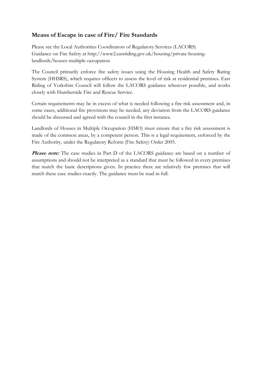# Means of Escape in case of Fire/ Fire Standards

Please see the Local Authorities Coordinators of Regulatory Services (LACORS) Guidance on Fire Safety at http://www2.eastriding.gov.uk/housing/private-housinglandlords/houses-multiple-occupation

The Council primarily enforce fire safety issues using the Housing Health and Safety Rating System (HHSRS), which requires officers to assess the level of risk at residential premises. East Riding of Yorkshire Council will follow the LACORS guidance wherever possible, and works closely with Humberside Fire and Rescue Service.

Certain requirements may be in excess of what is needed following a fire risk assessment and, in some cases, additional fire provisions may be needed, any deviation from the LACORS guidance should be discussed and agreed with the council in the first instance.

Landlords of Houses in Multiple Occupation (HMO) must ensure that a fire risk assessment is made of the common areas, by a competent person. This is a legal requirement, enforced by the Fire Authority, under the Regulatory Reform (Fire Safety) Order 2005.

Please note: The case studies in Part D of the LACORS guidance are based on a number of assumptions and should not be interpreted as a standard that must be followed in every premises that match the basic descriptions given. In practice there are relatively few premises that will match these case studies exactly. The guidance must be read in full.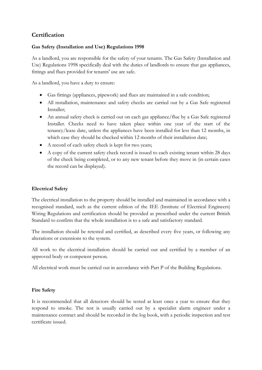# **Certification**

## Gas Safety (Installation and Use) Regulations 1998

As a landlord, you are responsible for the safety of your tenants. The Gas Safety (Installation and Use) Regulations 1998 specifically deal with the duties of landlords to ensure that gas appliances, fittings and flues provided for tenants' use are safe.

As a landlord, you have a duty to ensure:

- Gas fittings (appliances, pipework) and flues are maintained in a safe condition;
- All installation, maintenance and safety checks are carried out by a Gas Safe registered Installer;
- An annual safety check is carried out on each gas appliance/flue by a Gas Safe registered Installer. Checks need to have taken place within one year of the start of the tenancy/lease date, unless the appliances have been installed for less than 12 months, in which case they should be checked within 12 months of their installation date;
- A record of each safety check is kept for two years;
- A copy of the current safety check record is issued to each existing tenant within 28 days of the check being completed, or to any new tenant before they move in (in certain cases the record can be displayed).

## Electrical Safety

The electrical installation to the property should be installed and maintained in accordance with a recognised standard, such as the current edition of the IEE (Institute of Electrical Engineers) Wiring Regulations and certification should be provided as prescribed under the current British Standard to confirm that the whole installation is to a safe and satisfactory standard.

The installation should be retested and certified, as described every five years, or following any alterations or extensions to the system.

All work to the electrical installation should be carried out and certified by a member of an approved body or competent person.

All electrical work must be carried out in accordance with Part P of the Building Regulations.

## Fire Safety

It is recommended that all detectors should be tested at least once a year to ensure that they respond to smoke. The test is usually carried out by a specialist alarm engineer under a maintenance contract and should be recorded in the log book, with a periodic inspection and test certificate issued.